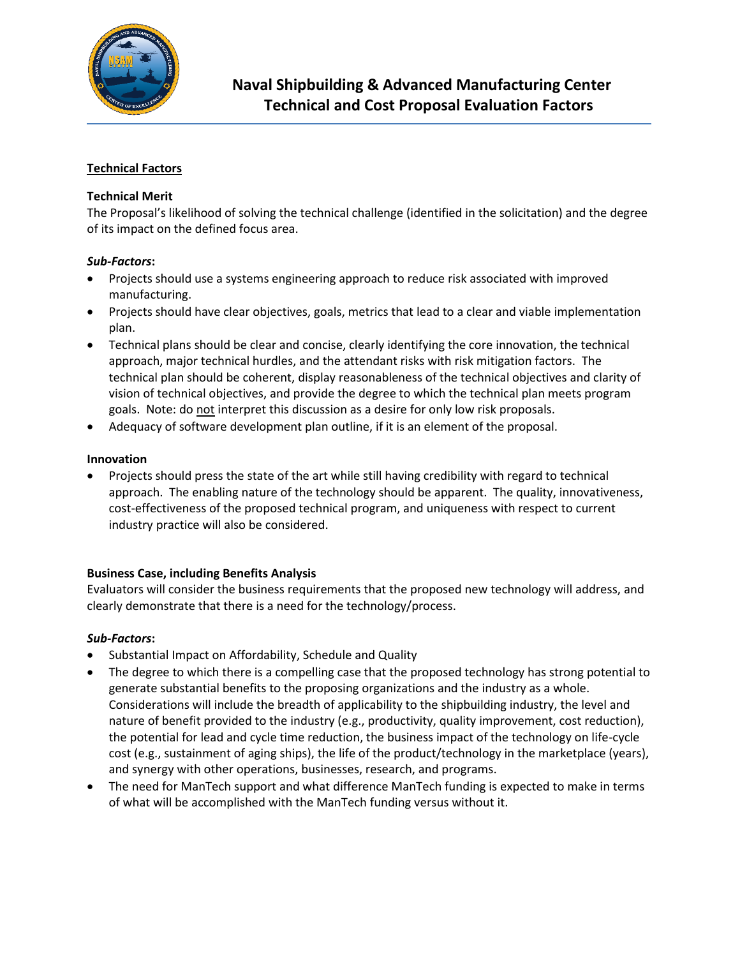

## **Technical Factors**

### **Technical Merit**

The Proposal's likelihood of solving the technical challenge (identified in the solicitation) and the degree of its impact on the defined focus area.

#### *Sub-Factors***:**

- Projects should use a systems engineering approach to reduce risk associated with improved manufacturing.
- Projects should have clear objectives, goals, metrics that lead to a clear and viable implementation plan.
- Technical plans should be clear and concise, clearly identifying the core innovation, the technical approach, major technical hurdles, and the attendant risks with risk mitigation factors. The technical plan should be coherent, display reasonableness of the technical objectives and clarity of vision of technical objectives, and provide the degree to which the technical plan meets program goals. Note: do not interpret this discussion as a desire for only low risk proposals.
- Adequacy of software development plan outline, if it is an element of the proposal.

#### **Innovation**

 Projects should press the state of the art while still having credibility with regard to technical approach. The enabling nature of the technology should be apparent. The quality, innovativeness, cost-effectiveness of the proposed technical program, and uniqueness with respect to current industry practice will also be considered.

#### **Business Case, including Benefits Analysis**

Evaluators will consider the business requirements that the proposed new technology will address, and clearly demonstrate that there is a need for the technology/process.

#### *Sub-Factors***:**

- Substantial Impact on Affordability, Schedule and Quality
- The degree to which there is a compelling case that the proposed technology has strong potential to generate substantial benefits to the proposing organizations and the industry as a whole. Considerations will include the breadth of applicability to the shipbuilding industry, the level and nature of benefit provided to the industry (e.g., productivity, quality improvement, cost reduction), the potential for lead and cycle time reduction, the business impact of the technology on life-cycle cost (e.g., sustainment of aging ships), the life of the product/technology in the marketplace (years), and synergy with other operations, businesses, research, and programs.
- The need for ManTech support and what difference ManTech funding is expected to make in terms of what will be accomplished with the ManTech funding versus without it.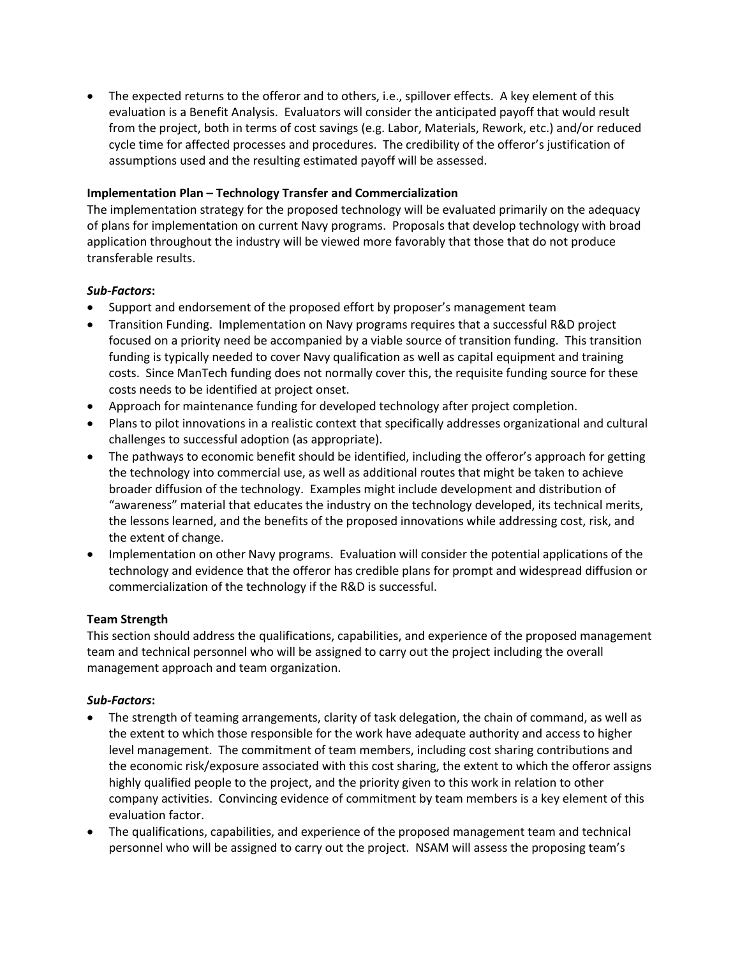The expected returns to the offeror and to others, i.e., spillover effects. A key element of this evaluation is a Benefit Analysis. Evaluators will consider the anticipated payoff that would result from the project, both in terms of cost savings (e.g. Labor, Materials, Rework, etc.) and/or reduced cycle time for affected processes and procedures. The credibility of the offeror's justification of assumptions used and the resulting estimated payoff will be assessed.

### **Implementation Plan – Technology Transfer and Commercialization**

The implementation strategy for the proposed technology will be evaluated primarily on the adequacy of plans for implementation on current Navy programs. Proposals that develop technology with broad application throughout the industry will be viewed more favorably that those that do not produce transferable results.

### *Sub-Factors***:**

- Support and endorsement of the proposed effort by proposer's management team
- Transition Funding. Implementation on Navy programs requires that a successful R&D project focused on a priority need be accompanied by a viable source of transition funding. This transition funding is typically needed to cover Navy qualification as well as capital equipment and training costs. Since ManTech funding does not normally cover this, the requisite funding source for these costs needs to be identified at project onset.
- Approach for maintenance funding for developed technology after project completion.
- Plans to pilot innovations in a realistic context that specifically addresses organizational and cultural challenges to successful adoption (as appropriate).
- The pathways to economic benefit should be identified, including the offeror's approach for getting the technology into commercial use, as well as additional routes that might be taken to achieve broader diffusion of the technology. Examples might include development and distribution of "awareness" material that educates the industry on the technology developed, its technical merits, the lessons learned, and the benefits of the proposed innovations while addressing cost, risk, and the extent of change.
- Implementation on other Navy programs. Evaluation will consider the potential applications of the technology and evidence that the offeror has credible plans for prompt and widespread diffusion or commercialization of the technology if the R&D is successful.

# **Team Strength**

This section should address the qualifications, capabilities, and experience of the proposed management team and technical personnel who will be assigned to carry out the project including the overall management approach and team organization.

# *Sub-Factors***:**

- The strength of teaming arrangements, clarity of task delegation, the chain of command, as well as the extent to which those responsible for the work have adequate authority and access to higher level management. The commitment of team members, including cost sharing contributions and the economic risk/exposure associated with this cost sharing, the extent to which the offeror assigns highly qualified people to the project, and the priority given to this work in relation to other company activities. Convincing evidence of commitment by team members is a key element of this evaluation factor.
- The qualifications, capabilities, and experience of the proposed management team and technical personnel who will be assigned to carry out the project. NSAM will assess the proposing team's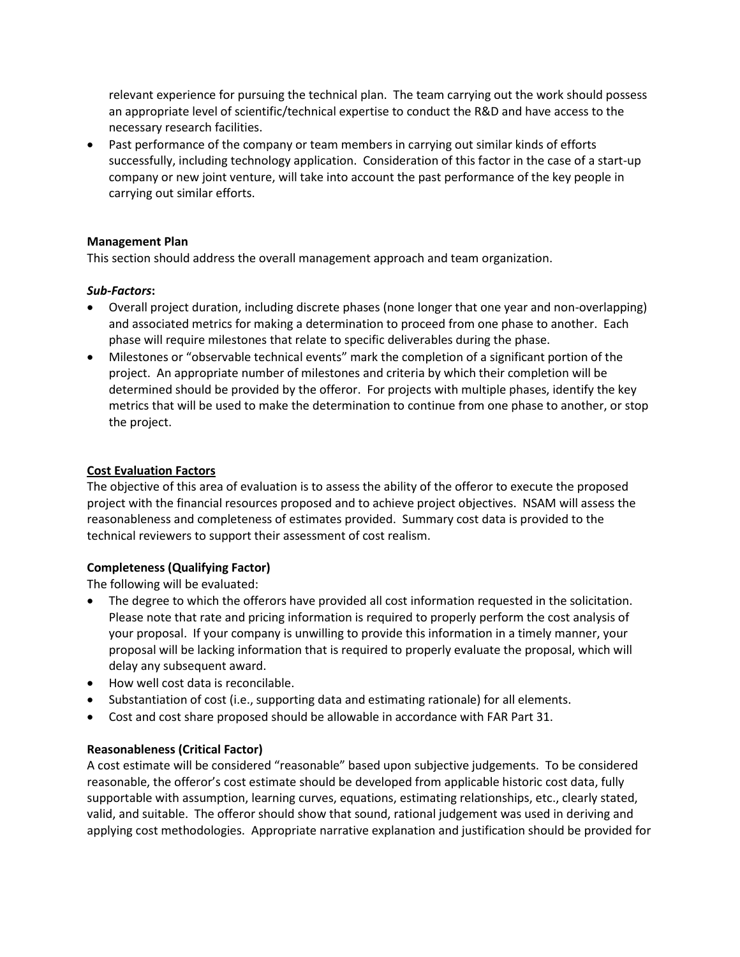relevant experience for pursuing the technical plan. The team carrying out the work should possess an appropriate level of scientific/technical expertise to conduct the R&D and have access to the necessary research facilities.

• Past performance of the company or team members in carrying out similar kinds of efforts successfully, including technology application. Consideration of this factor in the case of a start-up company or new joint venture, will take into account the past performance of the key people in carrying out similar efforts.

### **Management Plan**

This section should address the overall management approach and team organization.

### *Sub-Factors***:**

- Overall project duration, including discrete phases (none longer that one year and non-overlapping) and associated metrics for making a determination to proceed from one phase to another. Each phase will require milestones that relate to specific deliverables during the phase.
- Milestones or "observable technical events" mark the completion of a significant portion of the project. An appropriate number of milestones and criteria by which their completion will be determined should be provided by the offeror. For projects with multiple phases, identify the key metrics that will be used to make the determination to continue from one phase to another, or stop the project.

### **Cost Evaluation Factors**

The objective of this area of evaluation is to assess the ability of the offeror to execute the proposed project with the financial resources proposed and to achieve project objectives. NSAM will assess the reasonableness and completeness of estimates provided. Summary cost data is provided to the technical reviewers to support their assessment of cost realism.

# **Completeness (Qualifying Factor)**

The following will be evaluated:

- The degree to which the offerors have provided all cost information requested in the solicitation. Please note that rate and pricing information is required to properly perform the cost analysis of your proposal. If your company is unwilling to provide this information in a timely manner, your proposal will be lacking information that is required to properly evaluate the proposal, which will delay any subsequent award.
- How well cost data is reconcilable.
- Substantiation of cost (i.e., supporting data and estimating rationale) for all elements.
- Cost and cost share proposed should be allowable in accordance with FAR Part 31.

# **Reasonableness (Critical Factor)**

A cost estimate will be considered "reasonable" based upon subjective judgements. To be considered reasonable, the offeror's cost estimate should be developed from applicable historic cost data, fully supportable with assumption, learning curves, equations, estimating relationships, etc., clearly stated, valid, and suitable. The offeror should show that sound, rational judgement was used in deriving and applying cost methodologies. Appropriate narrative explanation and justification should be provided for